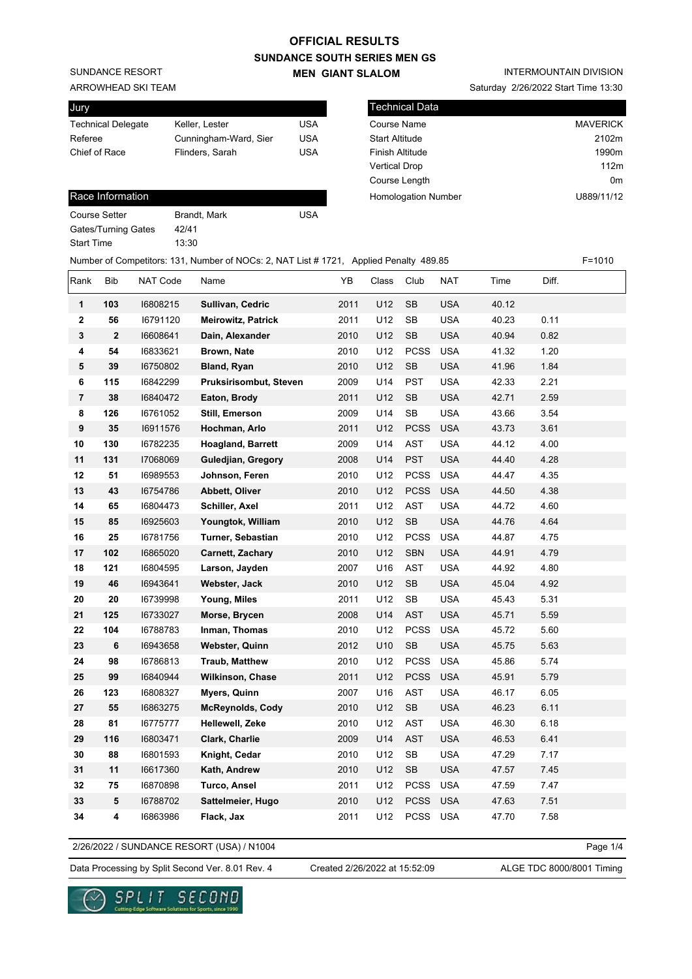SUNDANCE RESORT

ARROWHEAD SKI TEAM

| Jury                      |                       |     |
|---------------------------|-----------------------|-----|
| <b>Technical Delegate</b> | Keller, Lester        | USA |
| Referee                   | Cunningham-Ward, Sier | USA |
| Chief of Race             | Flinders, Sarah       | USA |
|                           |                       |     |

#### Race Information

| Course Setter       | Brandt, Mark | USA |
|---------------------|--------------|-----|
| Gates/Turning Gates | 42/41        |     |
| Start Time          | 13:30        |     |

### INTERMOUNTAIN DIVISION

Saturday 2/26/2022 Start Time 13:30

| Technical Data             |                   |
|----------------------------|-------------------|
| Course Name                | <b>MAVERICK</b>   |
| <b>Start Altitude</b>      | 2102m             |
| <b>Finish Altitude</b>     | 1990 <sub>m</sub> |
| <b>Vertical Drop</b>       | 112m              |
| Course Length              | 0 <sub>m</sub>    |
| <b>Homologation Number</b> | U889/11/12        |
|                            |                   |

|                  | Number of Competitors: 131, Number of NOCs: 2, NAT List # 1721, Applied Penalty 489.85 |          |                           |      |       |                      |            |       | $F = 1010$ |  |
|------------------|----------------------------------------------------------------------------------------|----------|---------------------------|------|-------|----------------------|------------|-------|------------|--|
| Rank             | Bib                                                                                    | NAT Code | Name                      | YB   | Class | Club                 | NAT        | Time  | Diff.      |  |
| 1                | 103                                                                                    | 16808215 | Sullivan, Cedric          | 2011 | U12   | <b>SB</b>            | <b>USA</b> | 40.12 |            |  |
| $\boldsymbol{2}$ | 56                                                                                     | 16791120 | <b>Meirowitz, Patrick</b> | 2011 | U12   | SB                   | <b>USA</b> | 40.23 | 0.11       |  |
| 3                | 2                                                                                      | 16608641 | Dain, Alexander           | 2010 | U12   | $\mathsf{SB}\xspace$ | <b>USA</b> | 40.94 | 0.82       |  |
| 4                | 54                                                                                     | 16833621 | Brown, Nate               | 2010 | U12   | <b>PCSS</b>          | <b>USA</b> | 41.32 | 1.20       |  |
| 5                | 39                                                                                     | 16750802 | <b>Bland, Ryan</b>        | 2010 | U12   | <b>SB</b>            | <b>USA</b> | 41.96 | 1.84       |  |
| 6                | 115                                                                                    | 16842299 | Pruksirisombut, Steven    | 2009 | U14   | <b>PST</b>           | <b>USA</b> | 42.33 | 2.21       |  |
| $\overline{7}$   | 38                                                                                     | 16840472 | Eaton, Brody              | 2011 | U12   | SB                   | <b>USA</b> | 42.71 | 2.59       |  |
| 8                | 126                                                                                    | 16761052 | Still, Emerson            | 2009 | U14   | <b>SB</b>            | <b>USA</b> | 43.66 | 3.54       |  |
| 9                | 35                                                                                     | 16911576 | Hochman, Arlo             | 2011 | U12   | <b>PCSS</b>          | <b>USA</b> | 43.73 | 3.61       |  |
| 10               | 130                                                                                    | 16782235 | <b>Hoagland, Barrett</b>  | 2009 | U14   | <b>AST</b>           | <b>USA</b> | 44.12 | 4.00       |  |
| 11               | 131                                                                                    | 17068069 | Guledjian, Gregory        | 2008 | U14   | <b>PST</b>           | <b>USA</b> | 44.40 | 4.28       |  |
| 12               | 51                                                                                     | 16989553 | Johnson, Feren            | 2010 | U12   | <b>PCSS</b>          | <b>USA</b> | 44.47 | 4.35       |  |
| 13               | 43                                                                                     | 16754786 | Abbett, Oliver            | 2010 | U12   | <b>PCSS</b>          | <b>USA</b> | 44.50 | 4.38       |  |
| 14               | 65                                                                                     | 16804473 | Schiller, Axel            | 2011 | U12   | AST                  | <b>USA</b> | 44.72 | 4.60       |  |
| 15               | 85                                                                                     | 16925603 | Youngtok, William         | 2010 | U12   | SB                   | <b>USA</b> | 44.76 | 4.64       |  |
| 16               | 25                                                                                     | 16781756 | Turner, Sebastian         | 2010 | U12   | <b>PCSS</b>          | <b>USA</b> | 44.87 | 4.75       |  |
| 17               | 102                                                                                    | 16865020 | Carnett, Zachary          | 2010 | U12   | SBN                  | <b>USA</b> | 44.91 | 4.79       |  |
| 18               | 121                                                                                    | 16804595 | Larson, Jayden            | 2007 | U16   | AST                  | <b>USA</b> | 44.92 | 4.80       |  |
| 19               | 46                                                                                     | 16943641 | Webster, Jack             | 2010 | U12   | SB                   | <b>USA</b> | 45.04 | 4.92       |  |
| 20               | 20                                                                                     | 16739998 | Young, Miles              | 2011 | U12   | SB                   | <b>USA</b> | 45.43 | 5.31       |  |
| 21               | 125                                                                                    | 16733027 | Morse, Brycen             | 2008 | U14   | <b>AST</b>           | <b>USA</b> | 45.71 | 5.59       |  |
| 22               | 104                                                                                    | 16788783 | Inman, Thomas             | 2010 | U12   | <b>PCSS</b>          | <b>USA</b> | 45.72 | 5.60       |  |
| 23               | 6                                                                                      | 16943658 | Webster, Quinn            | 2012 | U10   | $\mathsf{SB}\xspace$ | <b>USA</b> | 45.75 | 5.63       |  |
| 24               | 98                                                                                     | 16786813 | <b>Traub, Matthew</b>     | 2010 | U12   | <b>PCSS</b>          | <b>USA</b> | 45.86 | 5.74       |  |
| 25               | 99                                                                                     | 16840944 | Wilkinson, Chase          | 2011 | U12   | <b>PCSS</b>          | <b>USA</b> | 45.91 | 5.79       |  |
| 26               | 123                                                                                    | 16808327 | Myers, Quinn              | 2007 | U16   | <b>AST</b>           | <b>USA</b> | 46.17 | 6.05       |  |
| 27               | 55                                                                                     | 16863275 | <b>McReynolds, Cody</b>   | 2010 | U12   | $\mathsf{SB}\xspace$ | <b>USA</b> | 46.23 | 6.11       |  |
| 28               | 81                                                                                     | 16775777 | Hellewell, Zeke           | 2010 | U12   | AST                  | <b>USA</b> | 46.30 | 6.18       |  |
| 29               | 116                                                                                    | 16803471 | Clark, Charlie            | 2009 | U14   | <b>AST</b>           | <b>USA</b> | 46.53 | 6.41       |  |
| 30               | 88                                                                                     | 16801593 | Knight, Cedar             | 2010 | U12   | ${\sf SB}$           | <b>USA</b> | 47.29 | 7.17       |  |
| 31               | 11                                                                                     | 16617360 | Kath, Andrew              | 2010 | U12   | $\mathsf{SB}\xspace$ | <b>USA</b> | 47.57 | 7.45       |  |
| 32               | 75                                                                                     | 16870898 | Turco, Ansel              | 2011 | U12   | PCSS                 | <b>USA</b> | 47.59 | 7.47       |  |
| 33               | ${\bf 5}$                                                                              | 16788702 | Sattelmeier, Hugo         | 2010 | U12   | <b>PCSS</b>          | <b>USA</b> | 47.63 | 7.51       |  |
| 34               | 4                                                                                      | 16863986 | Flack, Jax                | 2011 | U12   | PCSS                 | <b>USA</b> | 47.70 | 7.58       |  |

2/26/2022 / SUNDANCE RESORT (USA) / N1004

Page 1/4

Data Processing by Split Second Ver. 8.01 Rev. 4 Created 2/26/2022 at 15:52:09 ALGE TDC 8000/8001 Timing

Created 2/26/2022 at 15:52:09

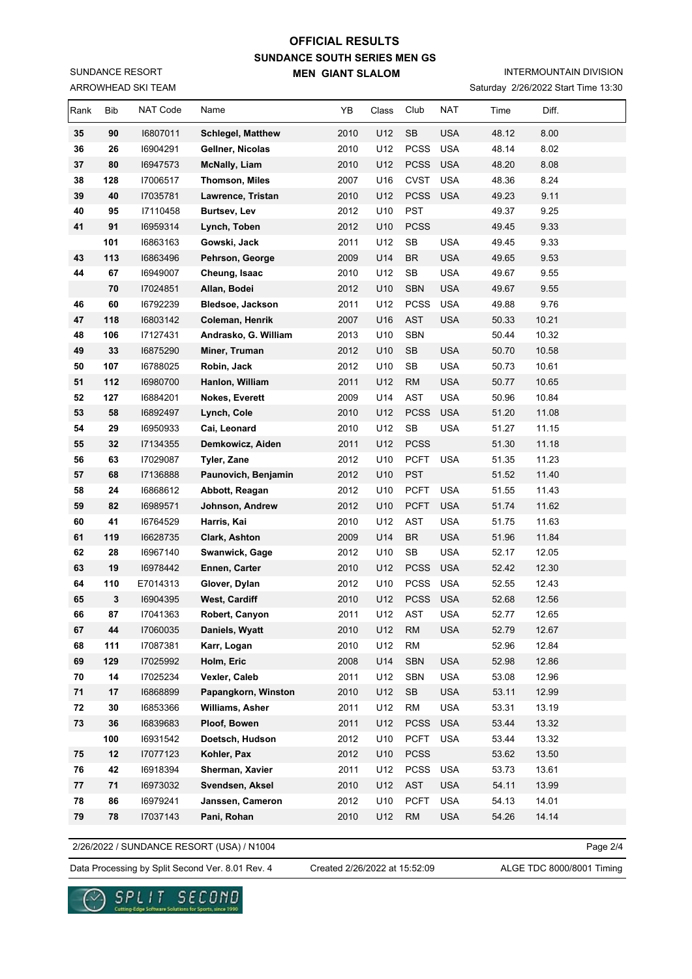ARROWHEAD SKI TEAM SUNDANCE RESORT

## INTERMOUNTAIN DIVISION

Saturday 2/26/2022 Start Time 13:30

| Rank       | Bib | NAT Code | Name                     | YB   | Class | Club        | <b>NAT</b> | Time  | Diff. |  |
|------------|-----|----------|--------------------------|------|-------|-------------|------------|-------|-------|--|
| 35         | 90  | 16807011 | <b>Schlegel, Matthew</b> | 2010 | U12   | <b>SB</b>   | <b>USA</b> | 48.12 | 8.00  |  |
| 36         | 26  | 16904291 | Gellner, Nicolas         | 2010 | U12   | <b>PCSS</b> | <b>USA</b> | 48.14 | 8.02  |  |
| 37         | 80  | 16947573 | <b>McNally, Liam</b>     | 2010 | U12   | <b>PCSS</b> | <b>USA</b> | 48.20 | 8.08  |  |
| 38         | 128 | 17006517 | <b>Thomson, Miles</b>    | 2007 | U16   | <b>CVST</b> | <b>USA</b> | 48.36 | 8.24  |  |
| 39         | 40  | 17035781 | Lawrence, Tristan        | 2010 | U12   | <b>PCSS</b> | <b>USA</b> | 49.23 | 9.11  |  |
| 40         | 95  | 17110458 | <b>Burtsev, Lev</b>      | 2012 | U10   | <b>PST</b>  |            | 49.37 | 9.25  |  |
| 41         | 91  | 16959314 | Lynch, Toben             | 2012 | U10   | <b>PCSS</b> |            | 49.45 | 9.33  |  |
|            | 101 | 16863163 | Gowski, Jack             | 2011 | U12   | SB          | <b>USA</b> | 49.45 | 9.33  |  |
| 43         | 113 | 16863496 | Pehrson, George          | 2009 | U14   | <b>BR</b>   | <b>USA</b> | 49.65 | 9.53  |  |
| 44         | 67  | 16949007 | Cheung, Isaac            | 2010 | U12   | SB          | <b>USA</b> | 49.67 | 9.55  |  |
|            | 70  | 17024851 | Allan, Bodei             | 2012 | U10   | <b>SBN</b>  | <b>USA</b> | 49.67 | 9.55  |  |
| 46         | 60  | 16792239 | Bledsoe, Jackson         | 2011 | U12   | <b>PCSS</b> | <b>USA</b> | 49.88 | 9.76  |  |
| 47         | 118 | 16803142 | Coleman, Henrik          | 2007 | U16   | <b>AST</b>  | <b>USA</b> | 50.33 | 10.21 |  |
| 48         | 106 | 17127431 | Andrasko, G. William     | 2013 | U10   | <b>SBN</b>  |            | 50.44 | 10.32 |  |
| 49         | 33  | 16875290 | Miner, Truman            | 2012 | U10   | SB          | <b>USA</b> | 50.70 | 10.58 |  |
| 50         | 107 | 16788025 | Robin, Jack              | 2012 | U10   | SB          | <b>USA</b> | 50.73 | 10.61 |  |
| 51         | 112 | 16980700 | Hanlon, William          | 2011 | U12   | RM          | <b>USA</b> | 50.77 | 10.65 |  |
| 52         | 127 | 16884201 | Nokes, Everett           | 2009 | U14   | AST         | <b>USA</b> | 50.96 | 10.84 |  |
| 53         | 58  | 16892497 | Lynch, Cole              | 2010 | U12   | <b>PCSS</b> | <b>USA</b> | 51.20 | 11.08 |  |
| 54         | 29  | 16950933 | Cai, Leonard             | 2010 | U12   | SB          | <b>USA</b> | 51.27 | 11.15 |  |
| 55         | 32  | 17134355 | Demkowicz, Aiden         | 2011 | U12   | <b>PCSS</b> |            | 51.30 | 11.18 |  |
| 56         | 63  | 17029087 | Tyler, Zane              | 2012 | U10   | <b>PCFT</b> | <b>USA</b> | 51.35 | 11.23 |  |
| 57         | 68  | 17136888 | Paunovich, Benjamin      | 2012 | U10   | <b>PST</b>  |            | 51.52 | 11.40 |  |
| 58         | 24  | 16868612 | Abbott, Reagan           | 2012 | U10   | <b>PCFT</b> | <b>USA</b> | 51.55 | 11.43 |  |
| 59         | 82  | 16989571 | Johnson, Andrew          | 2012 | U10   | <b>PCFT</b> | <b>USA</b> | 51.74 | 11.62 |  |
| 60         | 41  | 16764529 | Harris, Kai              | 2010 | U12   | AST         | <b>USA</b> | 51.75 | 11.63 |  |
| 61         | 119 | 16628735 | Clark, Ashton            | 2009 | U14   | <b>BR</b>   | <b>USA</b> | 51.96 | 11.84 |  |
| 62         | 28  | 16967140 | Swanwick, Gage           | 2012 | U10   | SB          | <b>USA</b> | 52.17 | 12.05 |  |
| 63         | 19  | 16978442 | Ennen, Carter            | 2010 | U12   | <b>PCSS</b> | <b>USA</b> | 52.42 | 12.30 |  |
| 64         | 110 | E7014313 | Glover, Dylan            | 2012 | U10   | <b>PCSS</b> | <b>USA</b> | 52.55 | 12.43 |  |
| 65         | 3   | 16904395 | West, Cardiff            | 2010 | U12   | <b>PCSS</b> | <b>USA</b> | 52.68 | 12.56 |  |
| 66         | 87  | 17041363 | Robert, Canyon           | 2011 | U12   | AST         | <b>USA</b> | 52.77 | 12.65 |  |
| 67         | 44  | 17060035 | Daniels, Wyatt           | 2010 | U12   | <b>RM</b>   | <b>USA</b> | 52.79 | 12.67 |  |
| 68         | 111 | 17087381 | Karr, Logan              | 2010 | U12   | <b>RM</b>   |            | 52.96 | 12.84 |  |
| 69         | 129 | 17025992 | Holm, Eric               | 2008 | U14   | SBN         | <b>USA</b> | 52.98 | 12.86 |  |
| ${\bf 70}$ | 14  | 17025234 | Vexler, Caleb            | 2011 | U12   | SBN         | <b>USA</b> | 53.08 | 12.96 |  |
| 71         | 17  | 16868899 | Papangkorn, Winston      | 2010 | U12   | SB          | <b>USA</b> | 53.11 | 12.99 |  |
| 72         | 30  | 16853366 | Williams, Asher          | 2011 | U12   | <b>RM</b>   | <b>USA</b> | 53.31 | 13.19 |  |
| 73         | 36  | 16839683 | Ploof, Bowen             | 2011 | U12   | <b>PCSS</b> | <b>USA</b> | 53.44 | 13.32 |  |
|            | 100 | 16931542 | Doetsch, Hudson          | 2012 | U10   | <b>PCFT</b> | <b>USA</b> | 53.44 | 13.32 |  |
| 75         | 12  | 17077123 | Kohler, Pax              | 2012 | U10   | <b>PCSS</b> |            | 53.62 | 13.50 |  |
| 76         | 42  | 16918394 | Sherman, Xavier          | 2011 | U12   | <b>PCSS</b> | <b>USA</b> | 53.73 | 13.61 |  |
| 77         | 71  | 16973032 | Svendsen, Aksel          | 2010 | U12   | AST         | <b>USA</b> | 54.11 | 13.99 |  |
| 78         | 86  | 16979241 | Janssen, Cameron         | 2012 | U10   | <b>PCFT</b> | <b>USA</b> | 54.13 | 14.01 |  |
| ${\bf 79}$ | 78  | 17037143 | Pani, Rohan              | 2010 | U12   | <b>RM</b>   | <b>USA</b> | 54.26 | 14.14 |  |

2/26/2022 / SUNDANCE RESORT (USA) / N1004

Page 2/4

Data Processing by Split Second Ver. 8.01 Rev. 4 Created 2/26/2022 at 15:52:09 ALGE TDC 8000/8001 Timing

Created 2/26/2022 at 15:52:09

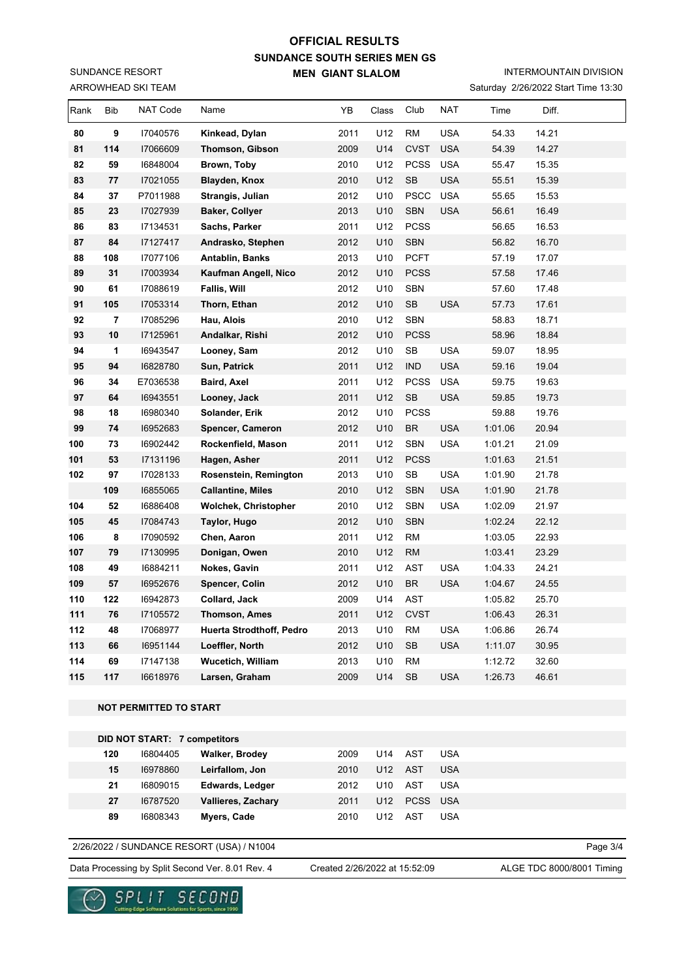ARROWHEAD SKI TEAM SUNDANCE RESORT

# INTERMOUNTAIN DIVISION

Saturday 2/26/2022 Start Time 13:30

| 80<br>9<br>2011<br>U12<br><b>RM</b><br><b>USA</b><br>17040576<br>Kinkead, Dylan<br>54.33<br>14.21<br>81<br>114<br>U14<br><b>CVST</b><br><b>USA</b><br>17066609<br>2009<br>54.39<br>14.27<br><b>Thomson, Gibson</b><br>82<br>59<br>2010<br>U12<br><b>PCSS</b><br><b>USA</b><br>15.35<br>16848004<br>Brown, Toby<br>55.47<br>83<br>U12<br>SB<br><b>USA</b><br>55.51<br>15.39<br>77<br>17021055<br>Blayden, Knox<br>2010<br>84<br>37<br>2012<br>U10<br><b>PSCC</b><br><b>USA</b><br>55.65<br>15.53<br>P7011988<br>Strangis, Julian<br><b>SBN</b><br>16.49<br>85<br>23<br>17027939<br><b>Baker, Collyer</b><br>2013<br>U10<br><b>USA</b><br>56.61<br>2011<br><b>PCSS</b><br>16.53<br>86<br>83<br>17134531<br>Sachs, Parker<br>U12<br>56.65<br>U10<br><b>SBN</b><br>87<br>84<br>17127417<br>2012<br>56.82<br>16.70<br>Andrasko, Stephen<br>88<br>2013<br>U10<br><b>PCFT</b><br>17.07<br>108<br>17077106<br>Antablin, Banks<br>57.19<br>89<br>31<br>17003934<br>2012<br>U10<br><b>PCSS</b><br>17.46<br>Kaufman Angell, Nico<br>57.58<br>90<br>61<br><b>SBN</b><br>17.48<br>17088619<br>Fallis, Will<br>2012<br>U10<br>57.60<br>91<br>U10<br>SB<br><b>USA</b><br>105<br>17053314<br>Thorn, Ethan<br>2012<br>57.73<br>17.61<br>92<br>2010<br>U12<br>SBN<br>58.83<br>18.71<br>7<br>17085296<br>Hau, Alois<br>93<br>10<br>2012<br>U10<br><b>PCSS</b><br>17125961<br>Andalkar, Rishi<br>58.96<br>18.84<br>${\sf SB}$<br>94<br>2012<br>U10<br><b>USA</b><br>59.07<br>18.95<br>$\mathbf 1$<br>16943547<br>Looney, Sam<br>94<br>2011<br>U12<br>95<br>16828780<br>Sun, Patrick<br><b>IND</b><br><b>USA</b><br>59.16<br>19.04<br>96<br>34<br>2011<br>U12<br><b>PCSS</b><br><b>USA</b><br>59.75<br>19.63<br>E7036538<br>Baird, Axel<br>97<br>U12<br>SB<br>64<br>2011<br><b>USA</b><br>59.85<br>19.73<br>16943551<br>Looney, Jack<br>98<br><b>PCSS</b><br>19.76<br>18<br>16980340<br>Solander, Erik<br>2012<br>U10<br>59.88<br>99<br><b>BR</b><br><b>USA</b><br>74<br>2012<br>U10<br>1:01.06<br>20.94<br>16952683<br>Spencer, Cameron<br>100<br>2011<br>U12<br><b>SBN</b><br><b>USA</b><br>21.09<br>73<br>16902442<br>Rockenfield, Mason<br>1:01.21<br>2011<br>U12<br><b>PCSS</b><br>21.51<br>101<br>53<br>17131196<br>Hagen, Asher<br>1:01.63<br>102<br>97<br>2013<br>U10<br>SB<br><b>USA</b><br>21.78<br>17028133<br>Rosenstein, Remington<br>1:01.90<br>U12<br><b>SBN</b><br><b>USA</b><br>21.78<br>109<br>16855065<br>2010<br>1:01.90<br><b>Callantine, Miles</b><br>2010<br>U12<br><b>SBN</b><br><b>USA</b><br>1:02.09<br>21.97<br>104<br>52<br>16886408<br>Wolchek, Christopher<br><b>SBN</b><br>105<br>45<br>17084743<br>Taylor, Hugo<br>2012<br>U10<br>1:02.24<br>22.12<br>U12<br><b>RM</b><br>106<br>8<br>17090592<br>Chen, Aaron<br>2011<br>1:03.05<br>22.93<br>107<br>79<br>2010<br>U12<br><b>RM</b><br>1:03.41<br>23.29<br>17130995<br>Donigan, Owen<br>108<br>49<br>16884211<br>2011<br>U12<br>AST<br><b>USA</b><br>1:04.33<br>24.21<br>Nokes, Gavin<br>U10<br><b>BR</b><br>109<br>57<br>Spencer, Colin<br>2012<br><b>USA</b><br>1:04.67<br>24.55<br>16952676<br>110<br>122<br>2009<br>U14<br><b>AST</b><br>1:05.82<br>25.70<br>16942873<br>Collard, Jack<br>2011<br>111<br>76<br>17105572<br>U12<br><b>CVST</b><br>1:06.43<br>26.31<br>Thomson, Ames<br>112<br>48<br>17068977<br><b>Huerta Strodthoff, Pedro</b><br>U10<br><b>RM</b><br><b>USA</b><br>1:06.86<br>26.74<br>2013<br>113<br>66<br>16951144<br>Loeffler, North<br>2012<br>U10<br>SB<br><b>USA</b><br>1:11.07<br>30.95<br>114<br>69<br>2013<br>U10<br><b>RM</b><br>1:12.72<br>32.60<br>17147138<br>Wucetich, William<br>U14<br><b>USA</b><br>115<br>117<br>16618976<br>Larsen, Graham<br>2009<br><b>SB</b><br>1:26.73<br>46.61<br><b>NOT PERMITTED TO START</b><br>DID NOT START: 7 competitors<br>120<br>16804405<br>Walker, Brodey<br>2009<br>U14<br>AST<br><b>USA</b><br>15<br>U12<br><b>AST</b><br>Leirfallom, Jon<br>2010<br><b>USA</b><br>16978860<br>AST<br>21<br>16809015<br><b>Edwards, Ledger</b><br>2012<br>U10<br><b>USA</b><br>U12<br><b>PCSS</b><br>27<br>16787520<br>Vallieres, Zachary<br>2011<br><b>USA</b><br>89<br>2010<br>U12<br>AST<br><b>USA</b><br>16808343<br>Myers, Cade<br>2/26/2022 / SUNDANCE RESORT (USA) / N1004 | Rank | Bib | NAT Code | Name | YB | Class | Club | <b>NAT</b> | Time | Diff. |          |
|-------------------------------------------------------------------------------------------------------------------------------------------------------------------------------------------------------------------------------------------------------------------------------------------------------------------------------------------------------------------------------------------------------------------------------------------------------------------------------------------------------------------------------------------------------------------------------------------------------------------------------------------------------------------------------------------------------------------------------------------------------------------------------------------------------------------------------------------------------------------------------------------------------------------------------------------------------------------------------------------------------------------------------------------------------------------------------------------------------------------------------------------------------------------------------------------------------------------------------------------------------------------------------------------------------------------------------------------------------------------------------------------------------------------------------------------------------------------------------------------------------------------------------------------------------------------------------------------------------------------------------------------------------------------------------------------------------------------------------------------------------------------------------------------------------------------------------------------------------------------------------------------------------------------------------------------------------------------------------------------------------------------------------------------------------------------------------------------------------------------------------------------------------------------------------------------------------------------------------------------------------------------------------------------------------------------------------------------------------------------------------------------------------------------------------------------------------------------------------------------------------------------------------------------------------------------------------------------------------------------------------------------------------------------------------------------------------------------------------------------------------------------------------------------------------------------------------------------------------------------------------------------------------------------------------------------------------------------------------------------------------------------------------------------------------------------------------------------------------------------------------------------------------------------------------------------------------------------------------------------------------------------------------------------------------------------------------------------------------------------------------------------------------------------------------------------------------------------------------------------------------------------------------------------------------------------------------------------------------------------------------------------------------------------------------------------------------------------------------------------------------------------------------------------------------------------------------------------------------------------------------------------------------------------------------------------------------------------------------------------------------------------------------------------------------------------------------------------------------------------------------------------------------------------------------------------------------|------|-----|----------|------|----|-------|------|------------|------|-------|----------|
|                                                                                                                                                                                                                                                                                                                                                                                                                                                                                                                                                                                                                                                                                                                                                                                                                                                                                                                                                                                                                                                                                                                                                                                                                                                                                                                                                                                                                                                                                                                                                                                                                                                                                                                                                                                                                                                                                                                                                                                                                                                                                                                                                                                                                                                                                                                                                                                                                                                                                                                                                                                                                                                                                                                                                                                                                                                                                                                                                                                                                                                                                                                                                                                                                                                                                                                                                                                                                                                                                                                                                                                                                                                                                                                                                                                                                                                                                                                                                                                                                                                                                                                                                                                                       |      |     |          |      |    |       |      |            |      |       |          |
|                                                                                                                                                                                                                                                                                                                                                                                                                                                                                                                                                                                                                                                                                                                                                                                                                                                                                                                                                                                                                                                                                                                                                                                                                                                                                                                                                                                                                                                                                                                                                                                                                                                                                                                                                                                                                                                                                                                                                                                                                                                                                                                                                                                                                                                                                                                                                                                                                                                                                                                                                                                                                                                                                                                                                                                                                                                                                                                                                                                                                                                                                                                                                                                                                                                                                                                                                                                                                                                                                                                                                                                                                                                                                                                                                                                                                                                                                                                                                                                                                                                                                                                                                                                                       |      |     |          |      |    |       |      |            |      |       |          |
|                                                                                                                                                                                                                                                                                                                                                                                                                                                                                                                                                                                                                                                                                                                                                                                                                                                                                                                                                                                                                                                                                                                                                                                                                                                                                                                                                                                                                                                                                                                                                                                                                                                                                                                                                                                                                                                                                                                                                                                                                                                                                                                                                                                                                                                                                                                                                                                                                                                                                                                                                                                                                                                                                                                                                                                                                                                                                                                                                                                                                                                                                                                                                                                                                                                                                                                                                                                                                                                                                                                                                                                                                                                                                                                                                                                                                                                                                                                                                                                                                                                                                                                                                                                                       |      |     |          |      |    |       |      |            |      |       |          |
|                                                                                                                                                                                                                                                                                                                                                                                                                                                                                                                                                                                                                                                                                                                                                                                                                                                                                                                                                                                                                                                                                                                                                                                                                                                                                                                                                                                                                                                                                                                                                                                                                                                                                                                                                                                                                                                                                                                                                                                                                                                                                                                                                                                                                                                                                                                                                                                                                                                                                                                                                                                                                                                                                                                                                                                                                                                                                                                                                                                                                                                                                                                                                                                                                                                                                                                                                                                                                                                                                                                                                                                                                                                                                                                                                                                                                                                                                                                                                                                                                                                                                                                                                                                                       |      |     |          |      |    |       |      |            |      |       |          |
|                                                                                                                                                                                                                                                                                                                                                                                                                                                                                                                                                                                                                                                                                                                                                                                                                                                                                                                                                                                                                                                                                                                                                                                                                                                                                                                                                                                                                                                                                                                                                                                                                                                                                                                                                                                                                                                                                                                                                                                                                                                                                                                                                                                                                                                                                                                                                                                                                                                                                                                                                                                                                                                                                                                                                                                                                                                                                                                                                                                                                                                                                                                                                                                                                                                                                                                                                                                                                                                                                                                                                                                                                                                                                                                                                                                                                                                                                                                                                                                                                                                                                                                                                                                                       |      |     |          |      |    |       |      |            |      |       |          |
|                                                                                                                                                                                                                                                                                                                                                                                                                                                                                                                                                                                                                                                                                                                                                                                                                                                                                                                                                                                                                                                                                                                                                                                                                                                                                                                                                                                                                                                                                                                                                                                                                                                                                                                                                                                                                                                                                                                                                                                                                                                                                                                                                                                                                                                                                                                                                                                                                                                                                                                                                                                                                                                                                                                                                                                                                                                                                                                                                                                                                                                                                                                                                                                                                                                                                                                                                                                                                                                                                                                                                                                                                                                                                                                                                                                                                                                                                                                                                                                                                                                                                                                                                                                                       |      |     |          |      |    |       |      |            |      |       |          |
|                                                                                                                                                                                                                                                                                                                                                                                                                                                                                                                                                                                                                                                                                                                                                                                                                                                                                                                                                                                                                                                                                                                                                                                                                                                                                                                                                                                                                                                                                                                                                                                                                                                                                                                                                                                                                                                                                                                                                                                                                                                                                                                                                                                                                                                                                                                                                                                                                                                                                                                                                                                                                                                                                                                                                                                                                                                                                                                                                                                                                                                                                                                                                                                                                                                                                                                                                                                                                                                                                                                                                                                                                                                                                                                                                                                                                                                                                                                                                                                                                                                                                                                                                                                                       |      |     |          |      |    |       |      |            |      |       |          |
|                                                                                                                                                                                                                                                                                                                                                                                                                                                                                                                                                                                                                                                                                                                                                                                                                                                                                                                                                                                                                                                                                                                                                                                                                                                                                                                                                                                                                                                                                                                                                                                                                                                                                                                                                                                                                                                                                                                                                                                                                                                                                                                                                                                                                                                                                                                                                                                                                                                                                                                                                                                                                                                                                                                                                                                                                                                                                                                                                                                                                                                                                                                                                                                                                                                                                                                                                                                                                                                                                                                                                                                                                                                                                                                                                                                                                                                                                                                                                                                                                                                                                                                                                                                                       |      |     |          |      |    |       |      |            |      |       |          |
|                                                                                                                                                                                                                                                                                                                                                                                                                                                                                                                                                                                                                                                                                                                                                                                                                                                                                                                                                                                                                                                                                                                                                                                                                                                                                                                                                                                                                                                                                                                                                                                                                                                                                                                                                                                                                                                                                                                                                                                                                                                                                                                                                                                                                                                                                                                                                                                                                                                                                                                                                                                                                                                                                                                                                                                                                                                                                                                                                                                                                                                                                                                                                                                                                                                                                                                                                                                                                                                                                                                                                                                                                                                                                                                                                                                                                                                                                                                                                                                                                                                                                                                                                                                                       |      |     |          |      |    |       |      |            |      |       |          |
|                                                                                                                                                                                                                                                                                                                                                                                                                                                                                                                                                                                                                                                                                                                                                                                                                                                                                                                                                                                                                                                                                                                                                                                                                                                                                                                                                                                                                                                                                                                                                                                                                                                                                                                                                                                                                                                                                                                                                                                                                                                                                                                                                                                                                                                                                                                                                                                                                                                                                                                                                                                                                                                                                                                                                                                                                                                                                                                                                                                                                                                                                                                                                                                                                                                                                                                                                                                                                                                                                                                                                                                                                                                                                                                                                                                                                                                                                                                                                                                                                                                                                                                                                                                                       |      |     |          |      |    |       |      |            |      |       |          |
|                                                                                                                                                                                                                                                                                                                                                                                                                                                                                                                                                                                                                                                                                                                                                                                                                                                                                                                                                                                                                                                                                                                                                                                                                                                                                                                                                                                                                                                                                                                                                                                                                                                                                                                                                                                                                                                                                                                                                                                                                                                                                                                                                                                                                                                                                                                                                                                                                                                                                                                                                                                                                                                                                                                                                                                                                                                                                                                                                                                                                                                                                                                                                                                                                                                                                                                                                                                                                                                                                                                                                                                                                                                                                                                                                                                                                                                                                                                                                                                                                                                                                                                                                                                                       |      |     |          |      |    |       |      |            |      |       |          |
|                                                                                                                                                                                                                                                                                                                                                                                                                                                                                                                                                                                                                                                                                                                                                                                                                                                                                                                                                                                                                                                                                                                                                                                                                                                                                                                                                                                                                                                                                                                                                                                                                                                                                                                                                                                                                                                                                                                                                                                                                                                                                                                                                                                                                                                                                                                                                                                                                                                                                                                                                                                                                                                                                                                                                                                                                                                                                                                                                                                                                                                                                                                                                                                                                                                                                                                                                                                                                                                                                                                                                                                                                                                                                                                                                                                                                                                                                                                                                                                                                                                                                                                                                                                                       |      |     |          |      |    |       |      |            |      |       |          |
|                                                                                                                                                                                                                                                                                                                                                                                                                                                                                                                                                                                                                                                                                                                                                                                                                                                                                                                                                                                                                                                                                                                                                                                                                                                                                                                                                                                                                                                                                                                                                                                                                                                                                                                                                                                                                                                                                                                                                                                                                                                                                                                                                                                                                                                                                                                                                                                                                                                                                                                                                                                                                                                                                                                                                                                                                                                                                                                                                                                                                                                                                                                                                                                                                                                                                                                                                                                                                                                                                                                                                                                                                                                                                                                                                                                                                                                                                                                                                                                                                                                                                                                                                                                                       |      |     |          |      |    |       |      |            |      |       |          |
|                                                                                                                                                                                                                                                                                                                                                                                                                                                                                                                                                                                                                                                                                                                                                                                                                                                                                                                                                                                                                                                                                                                                                                                                                                                                                                                                                                                                                                                                                                                                                                                                                                                                                                                                                                                                                                                                                                                                                                                                                                                                                                                                                                                                                                                                                                                                                                                                                                                                                                                                                                                                                                                                                                                                                                                                                                                                                                                                                                                                                                                                                                                                                                                                                                                                                                                                                                                                                                                                                                                                                                                                                                                                                                                                                                                                                                                                                                                                                                                                                                                                                                                                                                                                       |      |     |          |      |    |       |      |            |      |       |          |
|                                                                                                                                                                                                                                                                                                                                                                                                                                                                                                                                                                                                                                                                                                                                                                                                                                                                                                                                                                                                                                                                                                                                                                                                                                                                                                                                                                                                                                                                                                                                                                                                                                                                                                                                                                                                                                                                                                                                                                                                                                                                                                                                                                                                                                                                                                                                                                                                                                                                                                                                                                                                                                                                                                                                                                                                                                                                                                                                                                                                                                                                                                                                                                                                                                                                                                                                                                                                                                                                                                                                                                                                                                                                                                                                                                                                                                                                                                                                                                                                                                                                                                                                                                                                       |      |     |          |      |    |       |      |            |      |       |          |
|                                                                                                                                                                                                                                                                                                                                                                                                                                                                                                                                                                                                                                                                                                                                                                                                                                                                                                                                                                                                                                                                                                                                                                                                                                                                                                                                                                                                                                                                                                                                                                                                                                                                                                                                                                                                                                                                                                                                                                                                                                                                                                                                                                                                                                                                                                                                                                                                                                                                                                                                                                                                                                                                                                                                                                                                                                                                                                                                                                                                                                                                                                                                                                                                                                                                                                                                                                                                                                                                                                                                                                                                                                                                                                                                                                                                                                                                                                                                                                                                                                                                                                                                                                                                       |      |     |          |      |    |       |      |            |      |       |          |
|                                                                                                                                                                                                                                                                                                                                                                                                                                                                                                                                                                                                                                                                                                                                                                                                                                                                                                                                                                                                                                                                                                                                                                                                                                                                                                                                                                                                                                                                                                                                                                                                                                                                                                                                                                                                                                                                                                                                                                                                                                                                                                                                                                                                                                                                                                                                                                                                                                                                                                                                                                                                                                                                                                                                                                                                                                                                                                                                                                                                                                                                                                                                                                                                                                                                                                                                                                                                                                                                                                                                                                                                                                                                                                                                                                                                                                                                                                                                                                                                                                                                                                                                                                                                       |      |     |          |      |    |       |      |            |      |       |          |
|                                                                                                                                                                                                                                                                                                                                                                                                                                                                                                                                                                                                                                                                                                                                                                                                                                                                                                                                                                                                                                                                                                                                                                                                                                                                                                                                                                                                                                                                                                                                                                                                                                                                                                                                                                                                                                                                                                                                                                                                                                                                                                                                                                                                                                                                                                                                                                                                                                                                                                                                                                                                                                                                                                                                                                                                                                                                                                                                                                                                                                                                                                                                                                                                                                                                                                                                                                                                                                                                                                                                                                                                                                                                                                                                                                                                                                                                                                                                                                                                                                                                                                                                                                                                       |      |     |          |      |    |       |      |            |      |       |          |
|                                                                                                                                                                                                                                                                                                                                                                                                                                                                                                                                                                                                                                                                                                                                                                                                                                                                                                                                                                                                                                                                                                                                                                                                                                                                                                                                                                                                                                                                                                                                                                                                                                                                                                                                                                                                                                                                                                                                                                                                                                                                                                                                                                                                                                                                                                                                                                                                                                                                                                                                                                                                                                                                                                                                                                                                                                                                                                                                                                                                                                                                                                                                                                                                                                                                                                                                                                                                                                                                                                                                                                                                                                                                                                                                                                                                                                                                                                                                                                                                                                                                                                                                                                                                       |      |     |          |      |    |       |      |            |      |       |          |
|                                                                                                                                                                                                                                                                                                                                                                                                                                                                                                                                                                                                                                                                                                                                                                                                                                                                                                                                                                                                                                                                                                                                                                                                                                                                                                                                                                                                                                                                                                                                                                                                                                                                                                                                                                                                                                                                                                                                                                                                                                                                                                                                                                                                                                                                                                                                                                                                                                                                                                                                                                                                                                                                                                                                                                                                                                                                                                                                                                                                                                                                                                                                                                                                                                                                                                                                                                                                                                                                                                                                                                                                                                                                                                                                                                                                                                                                                                                                                                                                                                                                                                                                                                                                       |      |     |          |      |    |       |      |            |      |       |          |
|                                                                                                                                                                                                                                                                                                                                                                                                                                                                                                                                                                                                                                                                                                                                                                                                                                                                                                                                                                                                                                                                                                                                                                                                                                                                                                                                                                                                                                                                                                                                                                                                                                                                                                                                                                                                                                                                                                                                                                                                                                                                                                                                                                                                                                                                                                                                                                                                                                                                                                                                                                                                                                                                                                                                                                                                                                                                                                                                                                                                                                                                                                                                                                                                                                                                                                                                                                                                                                                                                                                                                                                                                                                                                                                                                                                                                                                                                                                                                                                                                                                                                                                                                                                                       |      |     |          |      |    |       |      |            |      |       |          |
|                                                                                                                                                                                                                                                                                                                                                                                                                                                                                                                                                                                                                                                                                                                                                                                                                                                                                                                                                                                                                                                                                                                                                                                                                                                                                                                                                                                                                                                                                                                                                                                                                                                                                                                                                                                                                                                                                                                                                                                                                                                                                                                                                                                                                                                                                                                                                                                                                                                                                                                                                                                                                                                                                                                                                                                                                                                                                                                                                                                                                                                                                                                                                                                                                                                                                                                                                                                                                                                                                                                                                                                                                                                                                                                                                                                                                                                                                                                                                                                                                                                                                                                                                                                                       |      |     |          |      |    |       |      |            |      |       |          |
|                                                                                                                                                                                                                                                                                                                                                                                                                                                                                                                                                                                                                                                                                                                                                                                                                                                                                                                                                                                                                                                                                                                                                                                                                                                                                                                                                                                                                                                                                                                                                                                                                                                                                                                                                                                                                                                                                                                                                                                                                                                                                                                                                                                                                                                                                                                                                                                                                                                                                                                                                                                                                                                                                                                                                                                                                                                                                                                                                                                                                                                                                                                                                                                                                                                                                                                                                                                                                                                                                                                                                                                                                                                                                                                                                                                                                                                                                                                                                                                                                                                                                                                                                                                                       |      |     |          |      |    |       |      |            |      |       |          |
|                                                                                                                                                                                                                                                                                                                                                                                                                                                                                                                                                                                                                                                                                                                                                                                                                                                                                                                                                                                                                                                                                                                                                                                                                                                                                                                                                                                                                                                                                                                                                                                                                                                                                                                                                                                                                                                                                                                                                                                                                                                                                                                                                                                                                                                                                                                                                                                                                                                                                                                                                                                                                                                                                                                                                                                                                                                                                                                                                                                                                                                                                                                                                                                                                                                                                                                                                                                                                                                                                                                                                                                                                                                                                                                                                                                                                                                                                                                                                                                                                                                                                                                                                                                                       |      |     |          |      |    |       |      |            |      |       |          |
|                                                                                                                                                                                                                                                                                                                                                                                                                                                                                                                                                                                                                                                                                                                                                                                                                                                                                                                                                                                                                                                                                                                                                                                                                                                                                                                                                                                                                                                                                                                                                                                                                                                                                                                                                                                                                                                                                                                                                                                                                                                                                                                                                                                                                                                                                                                                                                                                                                                                                                                                                                                                                                                                                                                                                                                                                                                                                                                                                                                                                                                                                                                                                                                                                                                                                                                                                                                                                                                                                                                                                                                                                                                                                                                                                                                                                                                                                                                                                                                                                                                                                                                                                                                                       |      |     |          |      |    |       |      |            |      |       |          |
|                                                                                                                                                                                                                                                                                                                                                                                                                                                                                                                                                                                                                                                                                                                                                                                                                                                                                                                                                                                                                                                                                                                                                                                                                                                                                                                                                                                                                                                                                                                                                                                                                                                                                                                                                                                                                                                                                                                                                                                                                                                                                                                                                                                                                                                                                                                                                                                                                                                                                                                                                                                                                                                                                                                                                                                                                                                                                                                                                                                                                                                                                                                                                                                                                                                                                                                                                                                                                                                                                                                                                                                                                                                                                                                                                                                                                                                                                                                                                                                                                                                                                                                                                                                                       |      |     |          |      |    |       |      |            |      |       |          |
|                                                                                                                                                                                                                                                                                                                                                                                                                                                                                                                                                                                                                                                                                                                                                                                                                                                                                                                                                                                                                                                                                                                                                                                                                                                                                                                                                                                                                                                                                                                                                                                                                                                                                                                                                                                                                                                                                                                                                                                                                                                                                                                                                                                                                                                                                                                                                                                                                                                                                                                                                                                                                                                                                                                                                                                                                                                                                                                                                                                                                                                                                                                                                                                                                                                                                                                                                                                                                                                                                                                                                                                                                                                                                                                                                                                                                                                                                                                                                                                                                                                                                                                                                                                                       |      |     |          |      |    |       |      |            |      |       |          |
|                                                                                                                                                                                                                                                                                                                                                                                                                                                                                                                                                                                                                                                                                                                                                                                                                                                                                                                                                                                                                                                                                                                                                                                                                                                                                                                                                                                                                                                                                                                                                                                                                                                                                                                                                                                                                                                                                                                                                                                                                                                                                                                                                                                                                                                                                                                                                                                                                                                                                                                                                                                                                                                                                                                                                                                                                                                                                                                                                                                                                                                                                                                                                                                                                                                                                                                                                                                                                                                                                                                                                                                                                                                                                                                                                                                                                                                                                                                                                                                                                                                                                                                                                                                                       |      |     |          |      |    |       |      |            |      |       |          |
|                                                                                                                                                                                                                                                                                                                                                                                                                                                                                                                                                                                                                                                                                                                                                                                                                                                                                                                                                                                                                                                                                                                                                                                                                                                                                                                                                                                                                                                                                                                                                                                                                                                                                                                                                                                                                                                                                                                                                                                                                                                                                                                                                                                                                                                                                                                                                                                                                                                                                                                                                                                                                                                                                                                                                                                                                                                                                                                                                                                                                                                                                                                                                                                                                                                                                                                                                                                                                                                                                                                                                                                                                                                                                                                                                                                                                                                                                                                                                                                                                                                                                                                                                                                                       |      |     |          |      |    |       |      |            |      |       |          |
|                                                                                                                                                                                                                                                                                                                                                                                                                                                                                                                                                                                                                                                                                                                                                                                                                                                                                                                                                                                                                                                                                                                                                                                                                                                                                                                                                                                                                                                                                                                                                                                                                                                                                                                                                                                                                                                                                                                                                                                                                                                                                                                                                                                                                                                                                                                                                                                                                                                                                                                                                                                                                                                                                                                                                                                                                                                                                                                                                                                                                                                                                                                                                                                                                                                                                                                                                                                                                                                                                                                                                                                                                                                                                                                                                                                                                                                                                                                                                                                                                                                                                                                                                                                                       |      |     |          |      |    |       |      |            |      |       |          |
|                                                                                                                                                                                                                                                                                                                                                                                                                                                                                                                                                                                                                                                                                                                                                                                                                                                                                                                                                                                                                                                                                                                                                                                                                                                                                                                                                                                                                                                                                                                                                                                                                                                                                                                                                                                                                                                                                                                                                                                                                                                                                                                                                                                                                                                                                                                                                                                                                                                                                                                                                                                                                                                                                                                                                                                                                                                                                                                                                                                                                                                                                                                                                                                                                                                                                                                                                                                                                                                                                                                                                                                                                                                                                                                                                                                                                                                                                                                                                                                                                                                                                                                                                                                                       |      |     |          |      |    |       |      |            |      |       |          |
|                                                                                                                                                                                                                                                                                                                                                                                                                                                                                                                                                                                                                                                                                                                                                                                                                                                                                                                                                                                                                                                                                                                                                                                                                                                                                                                                                                                                                                                                                                                                                                                                                                                                                                                                                                                                                                                                                                                                                                                                                                                                                                                                                                                                                                                                                                                                                                                                                                                                                                                                                                                                                                                                                                                                                                                                                                                                                                                                                                                                                                                                                                                                                                                                                                                                                                                                                                                                                                                                                                                                                                                                                                                                                                                                                                                                                                                                                                                                                                                                                                                                                                                                                                                                       |      |     |          |      |    |       |      |            |      |       |          |
|                                                                                                                                                                                                                                                                                                                                                                                                                                                                                                                                                                                                                                                                                                                                                                                                                                                                                                                                                                                                                                                                                                                                                                                                                                                                                                                                                                                                                                                                                                                                                                                                                                                                                                                                                                                                                                                                                                                                                                                                                                                                                                                                                                                                                                                                                                                                                                                                                                                                                                                                                                                                                                                                                                                                                                                                                                                                                                                                                                                                                                                                                                                                                                                                                                                                                                                                                                                                                                                                                                                                                                                                                                                                                                                                                                                                                                                                                                                                                                                                                                                                                                                                                                                                       |      |     |          |      |    |       |      |            |      |       |          |
|                                                                                                                                                                                                                                                                                                                                                                                                                                                                                                                                                                                                                                                                                                                                                                                                                                                                                                                                                                                                                                                                                                                                                                                                                                                                                                                                                                                                                                                                                                                                                                                                                                                                                                                                                                                                                                                                                                                                                                                                                                                                                                                                                                                                                                                                                                                                                                                                                                                                                                                                                                                                                                                                                                                                                                                                                                                                                                                                                                                                                                                                                                                                                                                                                                                                                                                                                                                                                                                                                                                                                                                                                                                                                                                                                                                                                                                                                                                                                                                                                                                                                                                                                                                                       |      |     |          |      |    |       |      |            |      |       |          |
|                                                                                                                                                                                                                                                                                                                                                                                                                                                                                                                                                                                                                                                                                                                                                                                                                                                                                                                                                                                                                                                                                                                                                                                                                                                                                                                                                                                                                                                                                                                                                                                                                                                                                                                                                                                                                                                                                                                                                                                                                                                                                                                                                                                                                                                                                                                                                                                                                                                                                                                                                                                                                                                                                                                                                                                                                                                                                                                                                                                                                                                                                                                                                                                                                                                                                                                                                                                                                                                                                                                                                                                                                                                                                                                                                                                                                                                                                                                                                                                                                                                                                                                                                                                                       |      |     |          |      |    |       |      |            |      |       |          |
|                                                                                                                                                                                                                                                                                                                                                                                                                                                                                                                                                                                                                                                                                                                                                                                                                                                                                                                                                                                                                                                                                                                                                                                                                                                                                                                                                                                                                                                                                                                                                                                                                                                                                                                                                                                                                                                                                                                                                                                                                                                                                                                                                                                                                                                                                                                                                                                                                                                                                                                                                                                                                                                                                                                                                                                                                                                                                                                                                                                                                                                                                                                                                                                                                                                                                                                                                                                                                                                                                                                                                                                                                                                                                                                                                                                                                                                                                                                                                                                                                                                                                                                                                                                                       |      |     |          |      |    |       |      |            |      |       |          |
|                                                                                                                                                                                                                                                                                                                                                                                                                                                                                                                                                                                                                                                                                                                                                                                                                                                                                                                                                                                                                                                                                                                                                                                                                                                                                                                                                                                                                                                                                                                                                                                                                                                                                                                                                                                                                                                                                                                                                                                                                                                                                                                                                                                                                                                                                                                                                                                                                                                                                                                                                                                                                                                                                                                                                                                                                                                                                                                                                                                                                                                                                                                                                                                                                                                                                                                                                                                                                                                                                                                                                                                                                                                                                                                                                                                                                                                                                                                                                                                                                                                                                                                                                                                                       |      |     |          |      |    |       |      |            |      |       |          |
|                                                                                                                                                                                                                                                                                                                                                                                                                                                                                                                                                                                                                                                                                                                                                                                                                                                                                                                                                                                                                                                                                                                                                                                                                                                                                                                                                                                                                                                                                                                                                                                                                                                                                                                                                                                                                                                                                                                                                                                                                                                                                                                                                                                                                                                                                                                                                                                                                                                                                                                                                                                                                                                                                                                                                                                                                                                                                                                                                                                                                                                                                                                                                                                                                                                                                                                                                                                                                                                                                                                                                                                                                                                                                                                                                                                                                                                                                                                                                                                                                                                                                                                                                                                                       |      |     |          |      |    |       |      |            |      |       |          |
|                                                                                                                                                                                                                                                                                                                                                                                                                                                                                                                                                                                                                                                                                                                                                                                                                                                                                                                                                                                                                                                                                                                                                                                                                                                                                                                                                                                                                                                                                                                                                                                                                                                                                                                                                                                                                                                                                                                                                                                                                                                                                                                                                                                                                                                                                                                                                                                                                                                                                                                                                                                                                                                                                                                                                                                                                                                                                                                                                                                                                                                                                                                                                                                                                                                                                                                                                                                                                                                                                                                                                                                                                                                                                                                                                                                                                                                                                                                                                                                                                                                                                                                                                                                                       |      |     |          |      |    |       |      |            |      |       |          |
|                                                                                                                                                                                                                                                                                                                                                                                                                                                                                                                                                                                                                                                                                                                                                                                                                                                                                                                                                                                                                                                                                                                                                                                                                                                                                                                                                                                                                                                                                                                                                                                                                                                                                                                                                                                                                                                                                                                                                                                                                                                                                                                                                                                                                                                                                                                                                                                                                                                                                                                                                                                                                                                                                                                                                                                                                                                                                                                                                                                                                                                                                                                                                                                                                                                                                                                                                                                                                                                                                                                                                                                                                                                                                                                                                                                                                                                                                                                                                                                                                                                                                                                                                                                                       |      |     |          |      |    |       |      |            |      |       |          |
|                                                                                                                                                                                                                                                                                                                                                                                                                                                                                                                                                                                                                                                                                                                                                                                                                                                                                                                                                                                                                                                                                                                                                                                                                                                                                                                                                                                                                                                                                                                                                                                                                                                                                                                                                                                                                                                                                                                                                                                                                                                                                                                                                                                                                                                                                                                                                                                                                                                                                                                                                                                                                                                                                                                                                                                                                                                                                                                                                                                                                                                                                                                                                                                                                                                                                                                                                                                                                                                                                                                                                                                                                                                                                                                                                                                                                                                                                                                                                                                                                                                                                                                                                                                                       |      |     |          |      |    |       |      |            |      |       |          |
|                                                                                                                                                                                                                                                                                                                                                                                                                                                                                                                                                                                                                                                                                                                                                                                                                                                                                                                                                                                                                                                                                                                                                                                                                                                                                                                                                                                                                                                                                                                                                                                                                                                                                                                                                                                                                                                                                                                                                                                                                                                                                                                                                                                                                                                                                                                                                                                                                                                                                                                                                                                                                                                                                                                                                                                                                                                                                                                                                                                                                                                                                                                                                                                                                                                                                                                                                                                                                                                                                                                                                                                                                                                                                                                                                                                                                                                                                                                                                                                                                                                                                                                                                                                                       |      |     |          |      |    |       |      |            |      |       |          |
|                                                                                                                                                                                                                                                                                                                                                                                                                                                                                                                                                                                                                                                                                                                                                                                                                                                                                                                                                                                                                                                                                                                                                                                                                                                                                                                                                                                                                                                                                                                                                                                                                                                                                                                                                                                                                                                                                                                                                                                                                                                                                                                                                                                                                                                                                                                                                                                                                                                                                                                                                                                                                                                                                                                                                                                                                                                                                                                                                                                                                                                                                                                                                                                                                                                                                                                                                                                                                                                                                                                                                                                                                                                                                                                                                                                                                                                                                                                                                                                                                                                                                                                                                                                                       |      |     |          |      |    |       |      |            |      |       |          |
|                                                                                                                                                                                                                                                                                                                                                                                                                                                                                                                                                                                                                                                                                                                                                                                                                                                                                                                                                                                                                                                                                                                                                                                                                                                                                                                                                                                                                                                                                                                                                                                                                                                                                                                                                                                                                                                                                                                                                                                                                                                                                                                                                                                                                                                                                                                                                                                                                                                                                                                                                                                                                                                                                                                                                                                                                                                                                                                                                                                                                                                                                                                                                                                                                                                                                                                                                                                                                                                                                                                                                                                                                                                                                                                                                                                                                                                                                                                                                                                                                                                                                                                                                                                                       |      |     |          |      |    |       |      |            |      |       |          |
|                                                                                                                                                                                                                                                                                                                                                                                                                                                                                                                                                                                                                                                                                                                                                                                                                                                                                                                                                                                                                                                                                                                                                                                                                                                                                                                                                                                                                                                                                                                                                                                                                                                                                                                                                                                                                                                                                                                                                                                                                                                                                                                                                                                                                                                                                                                                                                                                                                                                                                                                                                                                                                                                                                                                                                                                                                                                                                                                                                                                                                                                                                                                                                                                                                                                                                                                                                                                                                                                                                                                                                                                                                                                                                                                                                                                                                                                                                                                                                                                                                                                                                                                                                                                       |      |     |          |      |    |       |      |            |      |       |          |
|                                                                                                                                                                                                                                                                                                                                                                                                                                                                                                                                                                                                                                                                                                                                                                                                                                                                                                                                                                                                                                                                                                                                                                                                                                                                                                                                                                                                                                                                                                                                                                                                                                                                                                                                                                                                                                                                                                                                                                                                                                                                                                                                                                                                                                                                                                                                                                                                                                                                                                                                                                                                                                                                                                                                                                                                                                                                                                                                                                                                                                                                                                                                                                                                                                                                                                                                                                                                                                                                                                                                                                                                                                                                                                                                                                                                                                                                                                                                                                                                                                                                                                                                                                                                       |      |     |          |      |    |       |      |            |      |       | Page 3/4 |

Data Processing by Split Second Ver. 8.01 Rev. 4 Created 2/26/2022 at 15:52:09 ALGE TDC 8000/8001 Timing

SPLIT SECOND

are Solutions for Sports, since 1990

ng-Edge Softw

Created 2/26/2022 at 15:52:09